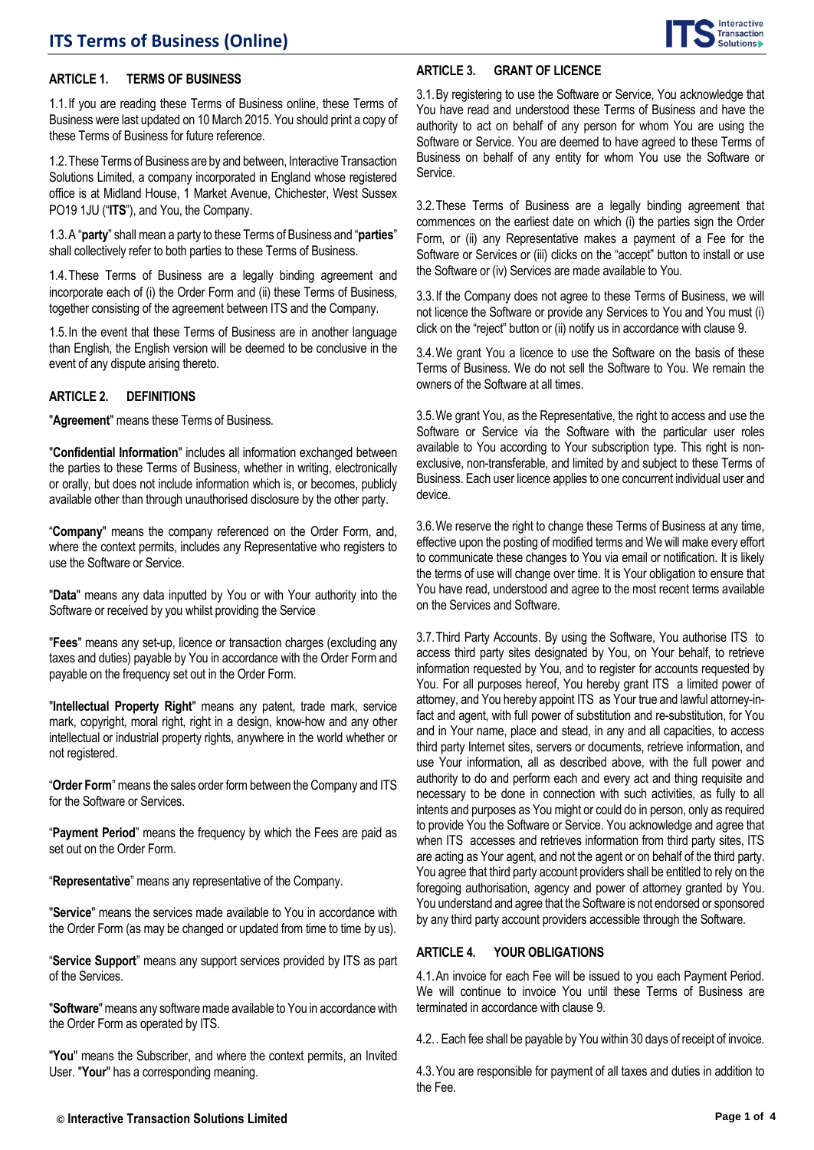

#### **ARTICLE 1. TERMS OF BUSINESS**

1.1.If you are reading these Terms of Business online, these Terms of Business were last updated on 10 March 2015. You should print a copy of these Terms of Business for future reference.

1.2.These Terms of Business are by and between, Interactive Transaction Solutions Limited, a company incorporated in England whose registered office is at Midland House, 1 Market Avenue, Chichester, West Sussex PO19 1JU ("**ITS**"), and You, the Company.

1.3.A "**party**" shall mean a party to these Terms of Business and "**parties**" shall collectively refer to both parties to these Terms of Business.

1.4.These Terms of Business are a legally binding agreement and incorporate each of (i) the Order Form and (ii) these Terms of Business, together consisting of the agreement between ITS and the Company.

1.5.In the event that these Terms of Business are in another language than English, the English version will be deemed to be conclusive in the event of any dispute arising thereto.

#### **ARTICLE 2. DEFINITIONS**

"**Agreement**" means these Terms of Business.

"**Confidential Information**" includes all information exchanged between the parties to these Terms of Business, whether in writing, electronically or orally, but does not include information which is, or becomes, publicly available other than through unauthorised disclosure by the other party.

"**Company**" means the company referenced on the Order Form, and, where the context permits, includes any Representative who registers to use the Software or Service.

"**Data**" means any data inputted by You or with Your authority into the Software or received by you whilst providing the Service

"**Fees**" means any set-up, licence or transaction charges (excluding any taxes and duties) payable by You in accordance with the Order Form and payable on the frequency set out in the Order Form.

"**Intellectual Property Right**" means any patent, trade mark, service mark, copyright, moral right, right in a design, know-how and any other intellectual or industrial property rights, anywhere in the world whether or not registered.

"**Order Form**" means the sales order formbetween the Company and ITS for the Software or Services.

"**Payment Period**" means the frequency by which the Fees are paid as set out on the Order Form.

"**Representative**" means any representative of the Company.

"**Service**" means the services made available to You in accordance with the Order Form (as may be changed or updated from time to time by us).

"**Service Support**" means any support services provided by ITS as part of the Services.

"**Software**" means any software made available to You in accordance with the Order Form as operated by ITS.

"**You**" means the Subscriber, and where the context permits, an Invited User. "**Your**" has a corresponding meaning.

## **ARTICLE 3. GRANT OF LICENCE**

3.1.By registering to use the Software or Service, You acknowledge that You have read and understood these Terms of Business and have the authority to act on behalf of any person for whom You are using the Software or Service. You are deemed to have agreed to these Terms of Business on behalf of any entity for whom You use the Software or Service.

3.2.These Terms of Business are a legally binding agreement that commences on the earliest date on which (i) the parties sign the Order Form, or (ii) any Representative makes a payment of a Fee for the Software or Services or (iii) clicks on the "accept" button to install or use the Software or (iv) Services are made available to You.

3.3.If the Company does not agree to these Terms of Business, we will not licence the Software or provide any Services to You and You must (i) click on the "reject" button or (ii) notify us in accordance with clause 9.

3.4.We grant You a licence to use the Software on the basis of these Terms of Business. We do not sell the Software to You. We remain the owners of the Software at all times.

3.5.We grant You, as the Representative, the right to access and use the Software or Service via the Software with the particular user roles available to You according to Your subscription type. This right is nonexclusive, non-transferable, and limited by and subject to these Terms of Business. Each user licence applies to one concurrent individual user and device.

3.6.We reserve the right to change these Terms of Business at any time, effective upon the posting of modified terms and We will make every effort to communicate these changes to You via email or notification. It is likely the terms of use will change over time. It is Your obligation to ensure that You have read, understood and agree to the most recent terms available on the Services and Software.

3.7.Third Party Accounts. By using the Software, You authorise ITS to access third party sites designated by You, on Your behalf, to retrieve information requested by You, and to register for accounts requested by You. For all purposes hereof, You hereby grant ITS a limited power of attorney, and You hereby appoint ITS as Your true and lawful attorney-infact and agent, with full power of substitution and re-substitution, for You and in Your name, place and stead, in any and all capacities, to access third party Internet sites, servers or documents, retrieve information, and use Your information, all as described above, with the full power and authority to do and perform each and every act and thing requisite and necessary to be done in connection with such activities, as fully to all intents and purposes as You might or could do in person, only as required to provide You the Software or Service. You acknowledge and agree that when ITS accesses and retrieves information from third party sites, ITS are acting as Your agent, and not the agent or on behalf of the third party. You agree that third party account providers shall be entitled to rely on the foregoing authorisation, agency and power of attorney granted by You. You understand and agree that the Software is not endorsed or sponsored by any third party account providers accessible through the Software.

## **ARTICLE 4. YOUR OBLIGATIONS**

<span id="page-0-0"></span>4.1.An invoice for each Fee will be issued to you each Payment Period. We will continue to invoice You until these Terms of Business are terminated in accordance with clause 9.

4.2.. Each fee shall be payable by You within 30 days of receipt of invoice.

4.3.You are responsible for payment of all taxes and duties in addition to the Fee.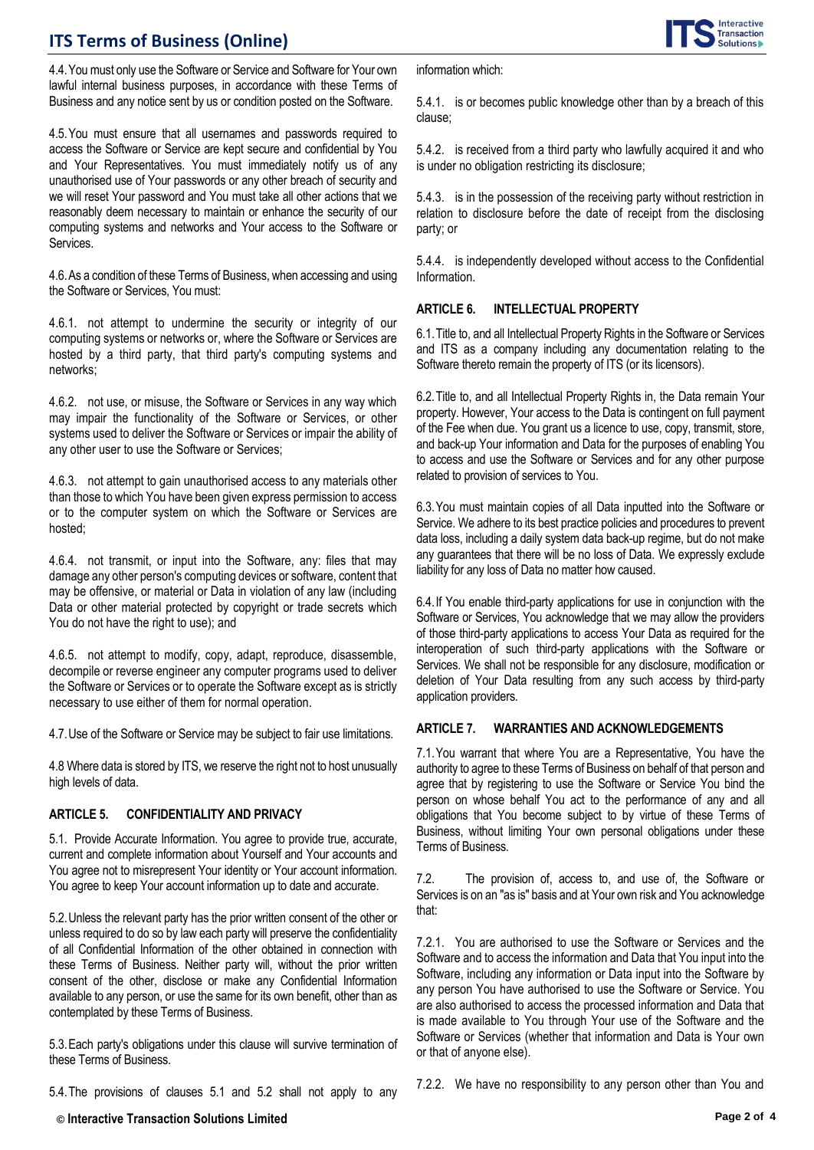

4.4.You must only use the Software or Service and Software for Your own lawful internal business purposes, in accordance with these Terms of Business and any notice sent by us or condition posted on the Software.

4.5.You must ensure that all usernames and passwords required to access the Software or Service are kept secure and confidential by You and Your Representatives. You must immediately notify us of any unauthorised use of Your passwords or any other breach of security and we will reset Your password and You must take all other actions that we reasonably deem necessary to maintain or enhance the security of our computing systems and networks and Your access to the Software or **Services** 

<span id="page-1-0"></span>4.6.As a condition of these Terms of Business, when accessing and using the Software or Services, You must:

4.6.1. not attempt to undermine the security or integrity of our computing systems or networks or, where the Software or Services are hosted by a third party, that third party's computing systems and networks;

4.6.2. not use, or misuse, the Software or Services in any way which may impair the functionality of the Software or Services, or other systems used to deliver the Software or Services or impair the ability of any other user to use the Software or Services;

4.6.3. not attempt to gain unauthorised access to any materials other than those to which You have been given express permission to access or to the computer system on which the Software or Services are hosted;

4.6.4. not transmit, or input into the Software, any: files that may damage any other person's computing devices or software, content that may be offensive, or material or Data in violation of any law (including Data or other material protected by copyright or trade secrets which You do not have the right to use); and

4.6.5. not attempt to modify, copy, adapt, reproduce, disassemble, decompile or reverse engineer any computer programs used to deliver the Software or Services or to operate the Software except as is strictly necessary to use either of them for normal operation.

4.7.Use of the Software or Service may be subject to fair use limitations.

4.8 Where data is stored by ITS, we reserve the right not to host unusually high levels of data.

### <span id="page-1-1"></span>**ARTICLE 5. CONFIDENTIALITY AND PRIVACY**

5.1. Provide Accurate Information. You agree to provide true, accurate, current and complete information about Yourself and Your accounts and You agree not to misrepresent Your identity or Your account information. You agree to keep Your account information up to date and accurate.

5.2.Unless the relevant party has the prior written consent of the other or unless required to do so by law each party will preserve the confidentiality of all Confidential Information of the other obtained in connection with these Terms of Business. Neither party will, without the prior written consent of the other, disclose or make any Confidential Information available to any person, or use the same for its own benefit, other than as contemplated by these Terms of Business.

5.3.Each party's obligations under this clause will survive termination of these Terms of Business.

5.4.The provisions of clauses 5.1 and 5.2 shall not apply to any

information which:

5.4.1. is or becomes public knowledge other than by a breach of this clause;

5.4.2. is received from a third party who lawfully acquired it and who is under no obligation restricting its disclosure;

5.4.3. is in the possession of the receiving party without restriction in relation to disclosure before the date of receipt from the disclosing party; or

5.4.4. is independently developed without access to the Confidential Information.

### <span id="page-1-2"></span>**ARTICLE 6. INTELLECTUAL PROPERTY**

6.1.Title to, and all Intellectual Property Rights in the Software or Services and ITS as a company including any documentation relating to the Software thereto remain the property of ITS (or its licensors).

6.2.Title to, and all Intellectual Property Rights in, the Data remain Your property. However, Your access to the Data is contingent on full payment of the Fee when due. You grant us a licence to use, copy, transmit, store, and back-up Your information and Data for the purposes of enabling You to access and use the Software or Services and for any other purpose related to provision of services to You.

6.3.You must maintain copies of all Data inputted into the Software or Service. We adhere to its best practice policies and procedures to prevent data loss, including a daily system data back-up regime, but do not make any guarantees that there will be no loss of Data. We expressly exclude liability for any loss of Data no matter how caused.

6.4.If You enable third-party applications for use in conjunction with the Software or Services, You acknowledge that we may allow the providers of those third-party applications to access Your Data as required for the interoperation of such third-party applications with the Software or Services. We shall not be responsible for any disclosure, modification or deletion of Your Data resulting from any such access by third-party application providers.

#### <span id="page-1-3"></span>**ARTICLE 7. WARRANTIES AND ACKNOWLEDGEMENTS**

7.1.You warrant that where You are a Representative, You have the authority to agree to these Terms of Business on behalf of that person and agree that by registering to use the Software or Service You bind the person on whose behalf You act to the performance of any and all obligations that You become subject to by virtue of these Terms of Business, without limiting Your own personal obligations under these Terms of Business.

7.2. The provision of, access to, and use of, the Software or Services is on an "as is" basis and at Your own risk and You acknowledge that:

7.2.1. You are authorised to use the Software or Services and the Software and to access the information and Data that You input into the Software, including any information or Data input into the Software by any person You have authorised to use the Software or Service. You are also authorised to access the processed information and Data that is made available to You through Your use of the Software and the Software or Services (whether that information and Data is Your own or that of anyone else).

7.2.2. We have no responsibility to any person other than You and

**© Interactive Transaction Solutions Limited Page 2 of 4**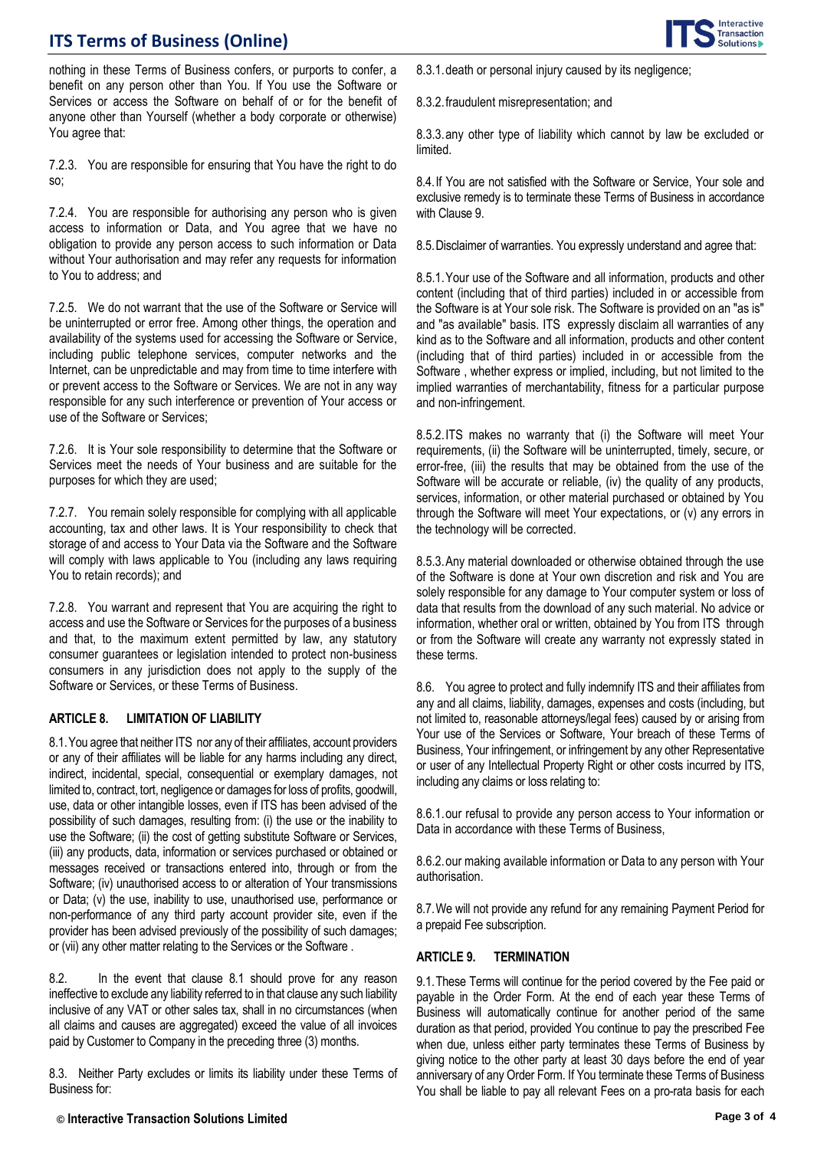

nothing in these Terms of Business confers, or purports to confer, a benefit on any person other than You. If You use the Software or Services or access the Software on behalf of or for the benefit of anyone other than Yourself (whether a body corporate or otherwise) You agree that:

7.2.3. You are responsible for ensuring that You have the right to do so;

7.2.4. You are responsible for authorising any person who is given access to information or Data, and You agree that we have no obligation to provide any person access to such information or Data without Your authorisation and may refer any requests for information to You to address; and

7.2.5. We do not warrant that the use of the Software or Service will be uninterrupted or error free. Among other things, the operation and availability of the systems used for accessing the Software or Service, including public telephone services, computer networks and the Internet, can be unpredictable and may from time to time interfere with or prevent access to the Software or Services. We are not in any way responsible for any such interference or prevention of Your access or use of the Software or Services;

7.2.6. It is Your sole responsibility to determine that the Software or Services meet the needs of Your business and are suitable for the purposes for which they are used;

7.2.7. You remain solely responsible for complying with all applicable accounting, tax and other laws. It is Your responsibility to check that storage of and access to Your Data via the Software and the Software will comply with laws applicable to You (including any laws requiring You to retain records); and

7.2.8. You warrant and represent that You are acquiring the right to access and use the Software or Services for the purposes of a business and that, to the maximum extent permitted by law, any statutory consumer guarantees or legislation intended to protect non-business consumers in any jurisdiction does not apply to the supply of the Software or Services, or these Terms of Business.

### <span id="page-2-0"></span>**ARTICLE 8. LIMITATION OF LIABILITY**

8.1.You agree that neither ITS nor any of their affiliates, account providers or any of their affiliates will be liable for any harms including any direct, indirect, incidental, special, consequential or exemplary damages, not limited to, contract, tort, negligence or damages for loss of profits, goodwill, use, data or other intangible losses, even if ITS has been advised of the possibility of such damages, resulting from: (i) the use or the inability to use the Software; (ii) the cost of getting substitute Software or Services, (iii) any products, data, information or services purchased or obtained or messages received or transactions entered into, through or from the Software; (iv) unauthorised access to or alteration of Your transmissions or Data; (v) the use, inability to use, unauthorised use, performance or non-performance of any third party account provider site, even if the provider has been advised previously of the possibility of such damages; or (vii) any other matter relating to the Services or the Software .

8.2. In the event that clause 8.1 should prove for any reason ineffective to exclude any liability referred to in that clause any such liability inclusive of any VAT or other sales tax, shall in no circumstances (when all claims and causes are aggregated) exceed the value of all invoices paid by Customer to Company in the preceding three (3) months.

8.3. Neither Party excludes or limits its liability under these Terms of Business for:

8.3.1.death or personal injury caused by its negligence;

8.3.2.fraudulent misrepresentation; and

8.3.3.any other type of liability which cannot by law be excluded or limited.

8.4.If You are not satisfied with the Software or Service, Your sole and exclusive remedy is to terminate these Terms of Business in accordance with Clause 9.

8.5.Disclaimer of warranties. You expressly understand and agree that:

8.5.1.Your use of the Software and all information, products and other content (including that of third parties) included in or accessible from the Software is at Your sole risk. The Software is provided on an "as is" and "as available" basis. ITS expressly disclaim all warranties of any kind as to the Software and all information, products and other content (including that of third parties) included in or accessible from the Software , whether express or implied, including, but not limited to the implied warranties of merchantability, fitness for a particular purpose and non-infringement.

8.5.2.ITS makes no warranty that (i) the Software will meet Your requirements, (ii) the Software will be uninterrupted, timely, secure, or error-free, (iii) the results that may be obtained from the use of the Software will be accurate or reliable, (iv) the quality of any products, services, information, or other material purchased or obtained by You through the Software will meet Your expectations, or (v) any errors in the technology will be corrected.

8.5.3.Any material downloaded or otherwise obtained through the use of the Software is done at Your own discretion and risk and You are solely responsible for any damage to Your computer system or loss of data that results from the download of any such material. No advice or information, whether oral or written, obtained by You from ITS through or from the Software will create any warranty not expressly stated in these terms.

8.6. You agree to protect and fully indemnify ITS and their affiliates from any and all claims, liability, damages, expenses and costs (including, but not limited to, reasonable attorneys/legal fees) caused by or arising from Your use of the Services or Software, Your breach of these Terms of Business, Your infringement, or infringement by any other Representative or user of any Intellectual Property Right or other costs incurred by ITS, including any claims or loss relating to:

8.6.1.our refusal to provide any person access to Your information or Data in accordance with these Terms of Business,

8.6.2.our making available information or Data to any person with Your authorisation.

8.7.We will not provide any refund for any remaining Payment Period for a prepaid Fee subscription.

### <span id="page-2-1"></span>**ARTICLE 9. TERMINATION**

9.1.These Terms will continue for the period covered by the Fee paid or payable in the Order Form. At the end of each year these Terms of Business will automatically continue for another period of the same duration as that period, provided You continue to pay the prescribed Fee when due, unless either party terminates these Terms of Business by giving notice to the other party at least 30 days before the end of year anniversary of any Order Form. If You terminate these Terms of Business You shall be liable to pay all relevant Fees on a pro-rata basis for each